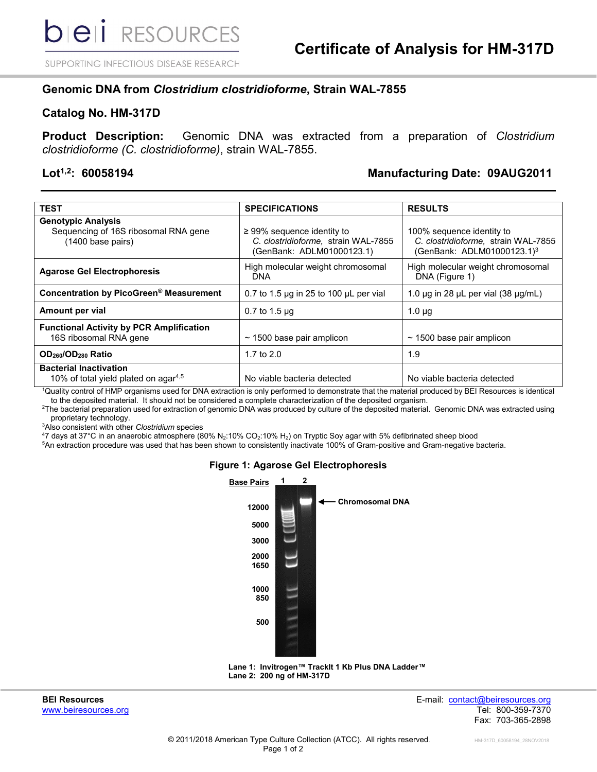SUPPORTING INFECTIOUS DISEASE RESEARCH

# **Genomic DNA from** *Clostridium clostridioforme***, Strain WAL-7855**

### **Catalog No. HM-317D**

**Product Description:** Genomic DNA was extracted from a preparation of *Clostridium clostridioforme (C. clostridioforme)*, strain WAL-7855.

# **Lot1,2: 60058194 Manufacturing Date: 09AUG2011**

| <b>TEST</b>                                                                                      | <b>SPECIFICATIONS</b>                                                                               | <b>RESULTS</b>                                                                                             |
|--------------------------------------------------------------------------------------------------|-----------------------------------------------------------------------------------------------------|------------------------------------------------------------------------------------------------------------|
| <b>Genotypic Analysis</b><br>Sequencing of 16S ribosomal RNA gene<br>$(1400 \text{ base pairs})$ | $\geq$ 99% sequence identity to<br>C. clostridioforme, strain WAL-7855<br>(GenBank: ADLM01000123.1) | 100% sequence identity to<br>C. clostridioforme, strain WAL-7855<br>(GenBank: ADLM01000123.1) <sup>3</sup> |
| <b>Agarose Gel Electrophoresis</b>                                                               | High molecular weight chromosomal<br><b>DNA</b>                                                     | High molecular weight chromosomal<br>DNA (Figure 1)                                                        |
| Concentration by PicoGreen® Measurement                                                          | 0.7 to 1.5 $\mu$ g in 25 to 100 $\mu$ L per vial                                                    | 1.0 $\mu$ g in 28 $\mu$ L per vial (38 $\mu$ g/mL)                                                         |
| Amount per vial                                                                                  | $0.7$ to 1.5 $\mu$ g                                                                                | $1.0 \mu q$                                                                                                |
| <b>Functional Activity by PCR Amplification</b><br>16S ribosomal RNA gene                        | $\sim$ 1500 base pair amplicon                                                                      | $\sim$ 1500 base pair amplicon                                                                             |
| OD <sub>260</sub> /OD <sub>280</sub> Ratio                                                       | 1.7 to $2.0$                                                                                        | 1.9                                                                                                        |
| <b>Bacterial Inactivation</b><br>10% of total yield plated on agar <sup>4,5</sup>                | No viable bacteria detected                                                                         | No viable bacteria detected                                                                                |

1 Quality control of HMP organisms used for DNA extraction is only performed to demonstrate that the material produced by BEI Resources is identical to the deposited material. It should not be considered a complete characterization of the deposited organism.

2 The bacterial preparation used for extraction of genomic DNA was produced by culture of the deposited material. Genomic DNA was extracted using proprietary technology.

3 Also consistent with other *Clostridium* species

4 7 days at 37°C in an anaerobic atmosphere (80% N2:10% CO2:10% H2) on Tryptic Soy agar with 5% defibrinated sheep blood

5 An extraction procedure was used that has been shown to consistently inactivate 100% of Gram-positive and Gram-negative bacteria.

#### **Figure 1: Agarose Gel Electrophoresis**





**BEI Resources** E-mail: [contact@beiresources.org](mailto:contact@beiresources.org) [www.beiresources.org](http://www.beiresources.org/) Tel: 800-359-7370 Fax: 703-365-2898